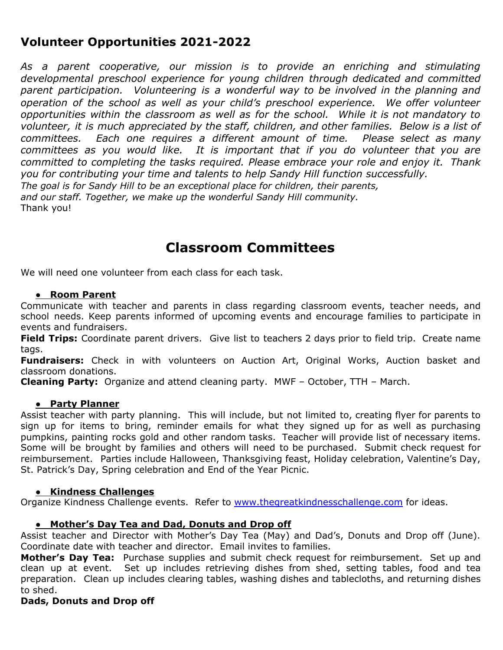## **Volunteer Opportunities 2021-2022**

*As a parent cooperative, our mission is to provide an enriching and stimulating developmental preschool experience for young children through dedicated and committed parent participation. Volunteering is a wonderful way to be involved in the planning and operation of the school as well as your child's preschool experience. We offer volunteer opportunities within the classroom as well as for the school. While it is not mandatory to volunteer, it is much appreciated by the staff, children, and other families. Below is a list of committees. Each one requires a different amount of time. Please select as many committees as you would like. It is important that if you do volunteer that you are committed to completing the tasks required. Please embrace your role and enjoy it. Thank you for contributing your time and talents to help Sandy Hill function successfully. The goal is for Sandy Hill to be an exceptional place for children, their parents, and our staff. Together, we make up the wonderful Sandy Hill community.* Thank you!

## **Classroom Committees**

We will need one volunteer from each class for each task.

## **● Room Parent**

Communicate with teacher and parents in class regarding classroom events, teacher needs, and school needs. Keep parents informed of upcoming events and encourage families to participate in events and fundraisers.

**Field Trips:** Coordinate parent drivers. Give list to teachers 2 days prior to field trip. Create name tags.

**Fundraisers:** Check in with volunteers on Auction Art, Original Works, Auction basket and classroom donations.

**Cleaning Party:** Organize and attend cleaning party. MWF – October, TTH – March.

## **● Party Planner**

Assist teacher with party planning. This will include, but not limited to, creating flyer for parents to sign up for items to bring, reminder emails for what they signed up for as well as purchasing pumpkins, painting rocks gold and other random tasks. Teacher will provide list of necessary items. Some will be brought by families and others will need to be purchased. Submit check request for reimbursement. Parties include Halloween, Thanksgiving feast, Holiday celebration, Valentine's Day, St. Patrick's Day, Spring celebration and End of the Year Picnic.

#### **● Kindness Challenges**

Organize Kindness Challenge events. Refer to www.thegreatkindnesschallenge.com for ideas.

## **● Mother's Day Tea and Dad, Donuts and Drop off**

Assist teacher and Director with Mother's Day Tea (May) and Dad's, Donuts and Drop off (June). Coordinate date with teacher and director. Email invites to families.

**Mother's Day Tea:** Purchase supplies and submit check request for reimbursement. Set up and clean up at event. Set up includes retrieving dishes from shed, setting tables, food and tea preparation. Clean up includes clearing tables, washing dishes and tablecloths, and returning dishes to shed.

## **Dads, Donuts and Drop off**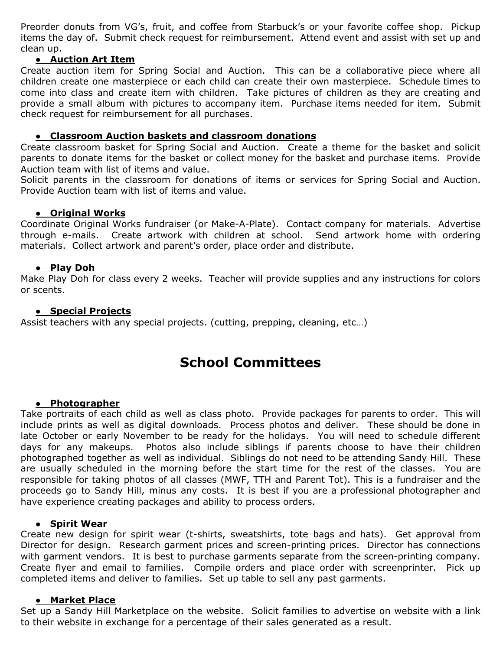Preorder donuts from VG's, fruit, and coffee from Starbuck's or your favorite coffee shop. Pickup items the day of. Submit check request for reimbursement. Attend event and assist with set up and clean up.

## **● Auction Art Item**

Create auction item for Spring Social and Auction. This can be a collaborative piece where all children create one masterpiece or each child can create their own masterpiece. Schedule times to come into class and create item with children. Take pictures of children as they are creating and provide a small album with pictures to accompany item. Purchase items needed for item. Submit check request for reimbursement for all purchases.

## **● Classroom Auction baskets and classroom donations**

Create classroom basket for Spring Social and Auction. Create a theme for the basket and solicit parents to donate items for the basket or collect money for the basket and purchase items. Provide Auction team with list of items and value.

Solicit parents in the classroom for donations of items or services for Spring Social and Auction. Provide Auction team with list of items and value.

## ● **Original Works**

Coordinate Original Works fundraiser (or Make-A-Plate). Contact company for materials. Advertise through e-mails. Create artwork with children at school. Send artwork home with ordering materials. Collect artwork and parent's order, place order and distribute.

## **● Play Doh**

Make Play Doh for class every 2 weeks. Teacher will provide supplies and any instructions for colors or scents.

## **● Special Projects**

Assist teachers with any special projects. (cutting, prepping, cleaning, etc…)

# **School Committees**

#### **● Photographer**

Take portraits of each child as well as class photo. Provide packages for parents to order. This will include prints as well as digital downloads. Process photos and deliver. These should be done in late October or early November to be ready for the holidays. You will need to schedule different days for any makeups. Photos also include siblings if parents choose to have their children photographed together as well as individual. Siblings do not need to be attending Sandy Hill. These are usually scheduled in the morning before the start time for the rest of the classes. You are responsible for taking photos of all classes (MWF, TTH and Parent Tot). This is a fundraiser and the proceeds go to Sandy Hill, minus any costs. It is best if you are a professional photographer and have experience creating packages and ability to process orders.

#### **● Spirit Wear**

Create new design for spirit wear (t-shirts, sweatshirts, tote bags and hats). Get approval from Director for design. Research garment prices and screen-printing prices. Director has connections with garment vendors. It is best to purchase garments separate from the screen-printing company. Create flyer and email to families. Compile orders and place order with screenprinter. Pick up completed items and deliver to families. Set up table to sell any past garments.

#### **● Market Place**

Set up a Sandy Hill Marketplace on the website. Solicit families to advertise on website with a link to their website in exchange for a percentage of their sales generated as a result.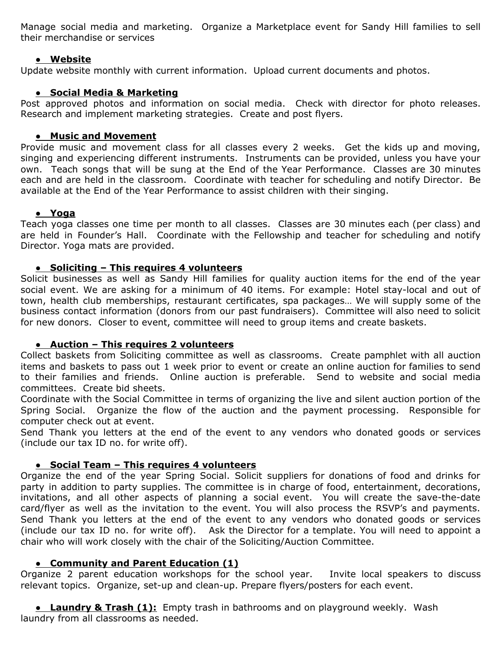Manage social media and marketing. Organize a Marketplace event for Sandy Hill families to sell their merchandise or services

## **● Website**

Update website monthly with current information. Upload current documents and photos.

## **● Social Media & Marketing**

Post approved photos and information on social media. Check with director for photo releases. Research and implement marketing strategies. Create and post flyers.

## **● Music and Movement**

Provide music and movement class for all classes every 2 weeks. Get the kids up and moving, singing and experiencing different instruments. Instruments can be provided, unless you have your own. Teach songs that will be sung at the End of the Year Performance. Classes are 30 minutes each and are held in the classroom. Coordinate with teacher for scheduling and notify Director. Be available at the End of the Year Performance to assist children with their singing.

## **● Yoga**

Teach yoga classes one time per month to all classes. Classes are 30 minutes each (per class) and are held in Founder's Hall. Coordinate with the Fellowship and teacher for scheduling and notify Director. Yoga mats are provided.

## **● Soliciting – This requires 4 volunteers**

Solicit businesses as well as Sandy Hill families for quality auction items for the end of the year social event. We are asking for a minimum of 40 items. For example: Hotel stay-local and out of town, health club memberships, restaurant certificates, spa packages… We will supply some of the business contact information (donors from our past fundraisers). Committee will also need to solicit for new donors. Closer to event, committee will need to group items and create baskets.

## **● Auction – This requires 2 volunteers**

Collect baskets from Soliciting committee as well as classrooms. Create pamphlet with all auction items and baskets to pass out 1 week prior to event or create an online auction for families to send to their families and friends. Online auction is preferable. Send to website and social media committees. Create bid sheets.

Coordinate with the Social Committee in terms of organizing the live and silent auction portion of the Spring Social. Organize the flow of the auction and the payment processing. Responsible for computer check out at event.

Send Thank you letters at the end of the event to any vendors who donated goods or services (include our tax ID no. for write off).

## **● Social Team – This requires 4 volunteers**

Organize the end of the year Spring Social. Solicit suppliers for donations of food and drinks for party in addition to party supplies. The committee is in charge of food, entertainment, decorations, invitations, and all other aspects of planning a social event. You will create the save-the-date card/flyer as well as the invitation to the event. You will also process the RSVP's and payments. Send Thank you letters at the end of the event to any vendors who donated goods or services (include our tax ID no. for write off). Ask the Director for a template. You will need to appoint a chair who will work closely with the chair of the Soliciting/Auction Committee.

## **● Community and Parent Education (1)**

Organize 2 parent education workshops for the school year. Invite local speakers to discuss relevant topics. Organize, set-up and clean-up. Prepare flyers/posters for each event.

**● Laundry & Trash (1):** Empty trash in bathrooms and on playground weekly. Wash laundry from all classrooms as needed.